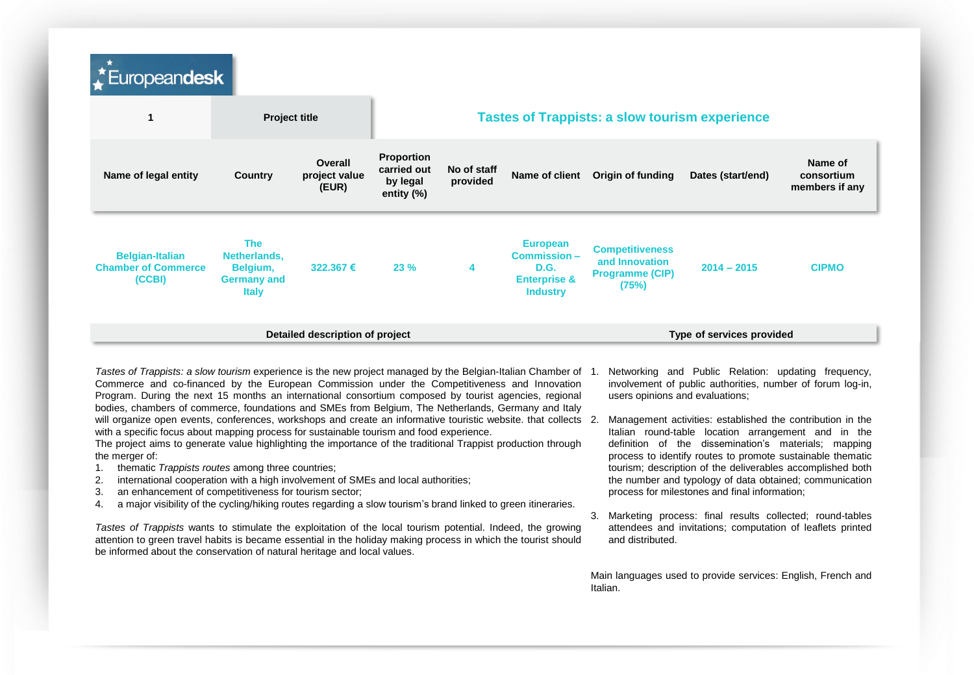| Europeandesk                                                                 |                                   |                                                            |                                 |                                                                                      |                                                                             |                   |                                                                                    |
|------------------------------------------------------------------------------|-----------------------------------|------------------------------------------------------------|---------------------------------|--------------------------------------------------------------------------------------|-----------------------------------------------------------------------------|-------------------|------------------------------------------------------------------------------------|
|                                                                              |                                   |                                                            |                                 |                                                                                      |                                                                             |                   |                                                                                    |
| Country                                                                      | Overall<br>project value<br>(EUR) | <b>Proportion</b><br>carried out<br>by legal<br>entity (%) | No of staff<br>provided         |                                                                                      | Origin of funding                                                           | Dates (start/end) | Name of<br>consortium<br>members if any                                            |
| <b>The</b><br>Netherlands,<br>Belgium,<br><b>Germany and</b><br><b>Italy</b> | 322.367€                          | 23%                                                        | 4                               | <b>European</b><br>Commission-<br>D.G.<br><b>Enterprise &amp;</b><br><b>Industry</b> | <b>Competitiveness</b><br>and Innovation<br><b>Programme (CIP)</b><br>(75%) | $2014 - 2015$     | <b>CIPMO</b>                                                                       |
|                                                                              |                                   |                                                            |                                 |                                                                                      |                                                                             |                   |                                                                                    |
|                                                                              |                                   | <b>Project title</b>                                       | Detailed description of project |                                                                                      |                                                                             | Name of client    | <b>Tastes of Trappists: a slow tourism experience</b><br>Type of services provided |

*Tastes of Trappists: a slow tourism* experience is the new project managed by the Belgian-Italian Chamber of Commerce and co-financed by the European Commission under the Competitiveness and Innovation Program. During the next 15 months an international consortium composed by tourist agencies, regional bodies, chambers of commerce, foundations and SMEs from Belgium, The Netherlands, Germany and Italy will organize open events, conferences, workshops and create an informative touristic website. that collects 2. with a specific focus about mapping process for sustainable tourism and food experience.

The project aims to generate value highlighting the importance of the traditional Trappist production through the merger of:

- 1. thematic *Trappists routes* among three countries;
- 2. international cooperation with a high involvement of SMEs and local authorities;
- 3. an enhancement of competitiveness for tourism sector;
- 4. a major visibility of the cycling/hiking routes regarding a slow tourism's brand linked to green itineraries.

*Tastes of Trappists* wants to stimulate the exploitation of the local tourism potential. Indeed, the growing attention to green travel habits is became essential in the holiday making process in which the tourist should be informed about the conservation of natural heritage and local values.

- Networking and Public Relation: updating frequency, involvement of public authorities, number of forum log-in, users opinions and evaluations;
- Management activities: established the contribution in the Italian round-table location arrangement and in the definition of the dissemination's materials; mapping process to identify routes to promote sustainable thematic tourism; description of the deliverables accomplished both the number and typology of data obtained; communication process for milestones and final information;
- 3. Marketing process: final results collected; round-tables attendees and invitations; computation of leaflets printed and distributed.

Main languages used to provide services: English, French and Italian.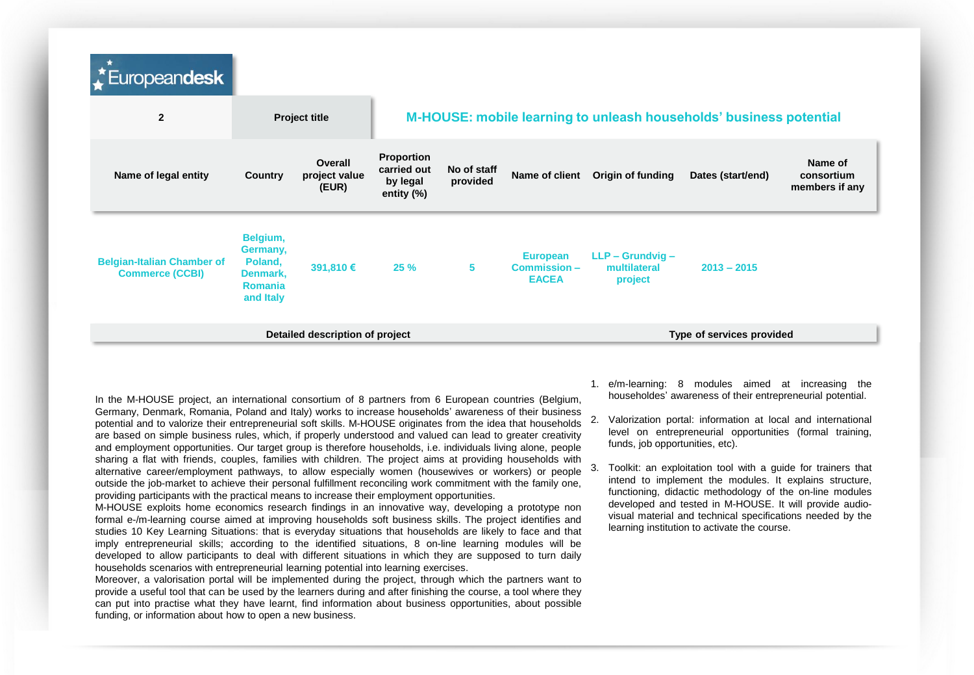| $\vec{v}$ Europeandesk                                      |                                                                            |                                   |                                                        |                         |                                                |                                               |                                                                    |                                         |
|-------------------------------------------------------------|----------------------------------------------------------------------------|-----------------------------------|--------------------------------------------------------|-------------------------|------------------------------------------------|-----------------------------------------------|--------------------------------------------------------------------|-----------------------------------------|
| $\overline{2}$                                              |                                                                            | <b>Project title</b>              |                                                        |                         |                                                |                                               | M-HOUSE: mobile learning to unleash households' business potential |                                         |
| Name of legal entity                                        | Country                                                                    | Overall<br>project value<br>(EUR) | Proportion<br>carried out<br>by legal<br>entity $(\%)$ | No of staff<br>provided | Name of client                                 | Origin of funding                             | Dates (start/end)                                                  | Name of<br>consortium<br>members if any |
| <b>Belgian-Italian Chamber of</b><br><b>Commerce (CCBI)</b> | Belgium,<br>Germany,<br>Poland,<br>Denmark,<br><b>Romania</b><br>and Italy | 391,810 €                         | 25%                                                    | 5                       | <b>European</b><br>Commission-<br><b>EACEA</b> | $LLP - Grundvig -$<br>multilateral<br>project | $2013 - 2015$                                                      |                                         |
|                                                             |                                                                            | Detailed description of project   |                                                        |                         | Type of services provided                      |                                               |                                                                    |                                         |

In the M-HOUSE project, an international consortium of 8 partners from 6 European countries (Belgium, Germany, Denmark, Romania, Poland and Italy) works to increase households' awareness of their business potential and to valorize their entrepreneurial soft skills. M-HOUSE originates from the idea that households are based on simple business rules, which, if properly understood and valued can lead to greater creativity and employment opportunities. Our target group is therefore households, i.e. individuals living alone, people sharing a flat with friends, couples, families with children. The project aims at providing households with alternative career/employment pathways, to allow especially women (housewives or workers) or people outside the job-market to achieve their personal fulfillment reconciling work commitment with the family one, providing participants with the practical means to increase their employment opportunities.

M-HOUSE exploits home economics research findings in an innovative way, developing a prototype non formal e-/m-learning course aimed at improving households soft business skills. The project identifies and studies 10 Key Learning Situations: that is everyday situations that households are likely to face and that imply entrepreneurial skills; according to the identified situations, 8 on-line learning modules will be developed to allow participants to deal with different situations in which they are supposed to turn daily households scenarios with entrepreneurial learning potential into learning exercises.

Moreover, a valorisation portal will be implemented during the project, through which the partners want to provide a useful tool that can be used by the learners during and after finishing the course, a tool where they can put into practise what they have learnt, find information about business opportunities, about possible funding, or information about how to open a new business.

- 1. e/m-learning: 8 modules aimed at increasing the householdes' awareness of their entrepreneurial potential.
- 2. Valorization portal: information at local and international level on entrepreneurial opportunities (formal training, funds, job opportunities, etc).
- 3. Toolkit: an exploitation tool with a guide for trainers that intend to implement the modules. It explains structure, functioning, didactic methodology of the on-line modules developed and tested in M-HOUSE. It will provide audiovisual material and technical specifications needed by the learning institution to activate the course.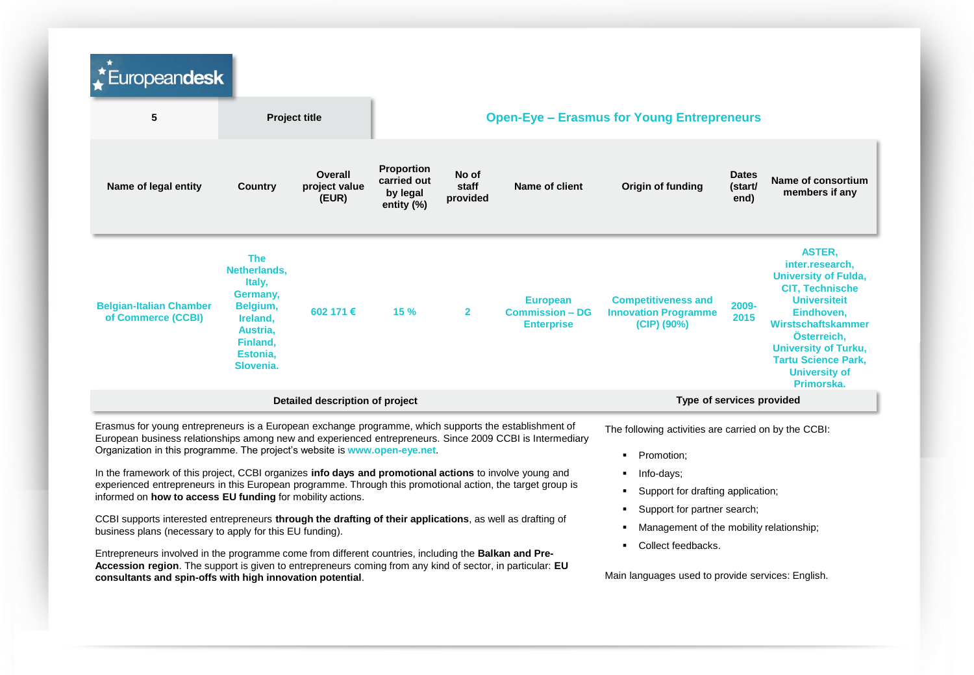| Europeandesk                                                                                                                                                                                                                                                                                                                               |                                                                                                                           |                                   |                                                     |                                                   |                                                                |                                                                            |                                 |                                                                                                                                                                                                                                                                        |  |  |  |
|--------------------------------------------------------------------------------------------------------------------------------------------------------------------------------------------------------------------------------------------------------------------------------------------------------------------------------------------|---------------------------------------------------------------------------------------------------------------------------|-----------------------------------|-----------------------------------------------------|---------------------------------------------------|----------------------------------------------------------------|----------------------------------------------------------------------------|---------------------------------|------------------------------------------------------------------------------------------------------------------------------------------------------------------------------------------------------------------------------------------------------------------------|--|--|--|
| 5                                                                                                                                                                                                                                                                                                                                          |                                                                                                                           | <b>Project title</b>              |                                                     | <b>Open-Eye - Erasmus for Young Entrepreneurs</b> |                                                                |                                                                            |                                 |                                                                                                                                                                                                                                                                        |  |  |  |
| Name of legal entity                                                                                                                                                                                                                                                                                                                       | Country                                                                                                                   | Overall<br>project value<br>(EUR) | Proportion<br>carried out<br>by legal<br>entity (%) | No of<br>staff<br>provided                        | Name of client                                                 | Origin of funding                                                          | <b>Dates</b><br>(start/<br>end) | Name of consortium<br>members if any                                                                                                                                                                                                                                   |  |  |  |
| <b>Belgian-Italian Chamber</b><br>of Commerce (CCBI)                                                                                                                                                                                                                                                                                       | <b>The</b><br>Netherlands,<br>Italy,<br>Germany.<br>Belgium,<br>Ireland,<br>Austria,<br>Finland,<br>Estonia,<br>Slovenia. | 602 171 €                         | 15%                                                 | $\mathbf{2}$                                      | <b>European</b><br><b>Commission - DG</b><br><b>Enterprise</b> | <b>Competitiveness and</b><br><b>Innovation Programme</b><br>$(CIP)$ (90%) | 2009-<br>2015                   | <b>ASTER.</b><br>inter.research,<br><b>University of Fulda,</b><br><b>CIT, Technische</b><br><b>Universiteit</b><br>Eindhoven.<br>Wirstschaftskammer<br>Österreich,<br><b>University of Turku,</b><br><b>Tartu Science Park,</b><br><b>University of</b><br>Primorska. |  |  |  |
|                                                                                                                                                                                                                                                                                                                                            |                                                                                                                           | Detailed description of project   |                                                     |                                                   |                                                                | Type of services provided                                                  |                                 |                                                                                                                                                                                                                                                                        |  |  |  |
| Erasmus for young entrepreneurs is a European exchange programme, which supports the establishment of<br>European business relationships among new and experienced entrepreneurs. Since 2009 CCBI is Intermediary<br>Organization in this programme. The project's website is www.open-eye.net.                                            |                                                                                                                           |                                   |                                                     |                                                   |                                                                | The following activities are carried on by the CCBI:<br>Promotion;         |                                 |                                                                                                                                                                                                                                                                        |  |  |  |
| In the framework of this project, CCBI organizes info days and promotional actions to involve young and<br>experienced entrepreneurs in this European programme. Through this promotional action, the target group is<br>informed on how to access EU funding for mobility actions.                                                        |                                                                                                                           |                                   |                                                     |                                                   |                                                                | Info-days;<br>Support for drafting application;                            |                                 |                                                                                                                                                                                                                                                                        |  |  |  |
| CCBI supports interested entrepreneurs through the drafting of their applications, as well as drafting of                                                                                                                                                                                                                                  |                                                                                                                           |                                   |                                                     |                                                   |                                                                | Support for partner search;<br>Management of the mobility relationship;    |                                 |                                                                                                                                                                                                                                                                        |  |  |  |
| business plans (necessary to apply for this EU funding).                                                                                                                                                                                                                                                                                   |                                                                                                                           |                                   |                                                     |                                                   |                                                                | Collect feedbacks.                                                         |                                 |                                                                                                                                                                                                                                                                        |  |  |  |
| Entrepreneurs involved in the programme come from different countries, including the <b>Balkan and Pre-</b><br>Accession region. The support is given to entrepreneurs coming from any kind of sector, in particular: EU<br>Main languages used to provide services: English.<br>consultants and spin-offs with high innovation potential. |                                                                                                                           |                                   |                                                     |                                                   |                                                                |                                                                            |                                 |                                                                                                                                                                                                                                                                        |  |  |  |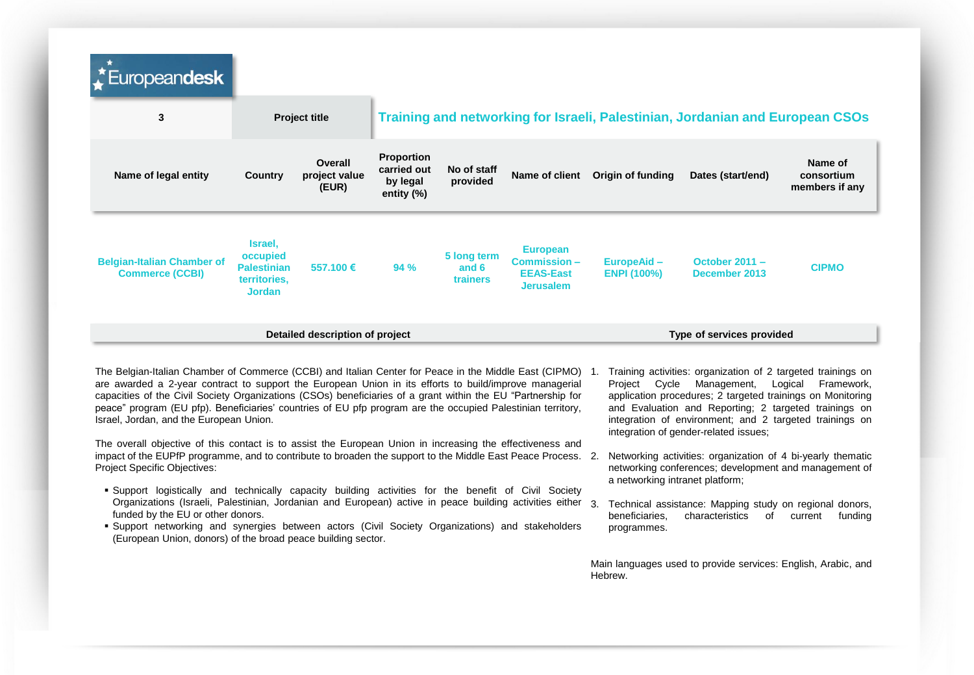| Europeandesk                                                                                                                                                                                                                                                                                                                        |                                                                            |                                   |                                                               |                                  |                                                                        |                                   |                                                                                                                                           |                                         |
|-------------------------------------------------------------------------------------------------------------------------------------------------------------------------------------------------------------------------------------------------------------------------------------------------------------------------------------|----------------------------------------------------------------------------|-----------------------------------|---------------------------------------------------------------|----------------------------------|------------------------------------------------------------------------|-----------------------------------|-------------------------------------------------------------------------------------------------------------------------------------------|-----------------------------------------|
| 3                                                                                                                                                                                                                                                                                                                                   |                                                                            | <b>Project title</b>              |                                                               |                                  |                                                                        |                                   | Training and networking for Israeli, Palestinian, Jordanian and European CSOs                                                             |                                         |
| Name of legal entity                                                                                                                                                                                                                                                                                                                | Country                                                                    | Overall<br>project value<br>(EUR) | <b>Proportion</b><br>carried out<br>by legal<br>entity $(\%)$ | No of staff<br>provided          | Name of client                                                         | Origin of funding                 | Dates (start/end)                                                                                                                         | Name of<br>consortium<br>members if any |
| <b>Belgian-Italian Chamber of</b><br><b>Commerce (CCBI)</b>                                                                                                                                                                                                                                                                         | Israel,<br>occupied<br><b>Palestinian</b><br>territories.<br><b>Jordan</b> | 557,100 €                         | 94 %                                                          | 5 long term<br>and 6<br>trainers | <b>European</b><br>Commission-<br><b>EEAS-East</b><br><b>Jerusalem</b> | EuropeAid -<br><b>ENPI (100%)</b> | October 2011 -<br>December 2013                                                                                                           | <b>CIPMO</b>                            |
|                                                                                                                                                                                                                                                                                                                                     |                                                                            | Detailed description of project   |                                                               | Type of services provided        |                                                                        |                                   |                                                                                                                                           |                                         |
| The Belgian-Italian Chamber of Commerce (CCBI) and Italian Center for Peace in the Middle East (CIPMO) 1.<br>are awarded a 2-year contract to support the European Union in its efforts to build/improve managerial<br>capacities of the Civil Society Organizations (CSOs) beneficiaries of a grant within the EU "Partnership for |                                                                            |                                   |                                                               |                                  |                                                                        | Project<br>Cvcle                  | Training activities: organization of 2 targeted trainings on<br>Management,<br>application procedures; 2 targeted trainings on Monitoring | Logical<br>Framework.                   |

peace" program (EU pfp). Beneficiaries' countries of EU pfp program are the occupied Palestinian territory, Israel, Jordan, and the European Union. The overall objective of this contact is to assist the European Union in increasing the effectiveness and

impact of the EUPfP programme, and to contribute to broaden the support to the Middle East Peace Process. Project Specific Objectives:

- Support logistically and technically capacity building activities for the benefit of Civil Society Organizations (Israeli, Palestinian, Jordanian and European) active in peace building activities either funded by the EU or other donors.
- Support networking and synergies between actors (Civil Society Organizations) and stakeholders (European Union, donors) of the broad peace building sector.
- and Evaluation and Reporting; 2 targeted trainings on integration of environment; and 2 targeted trainings on integration of gender-related issues;
- Networking activities: organization of 4 bi-yearly thematic networking conferences; development and management of a networking intranet platform;
- Technical assistance: Mapping study on regional donors, beneficiaries, characteristics of current funding programmes.

Main languages used to provide services: English, Arabic, and Hebrew.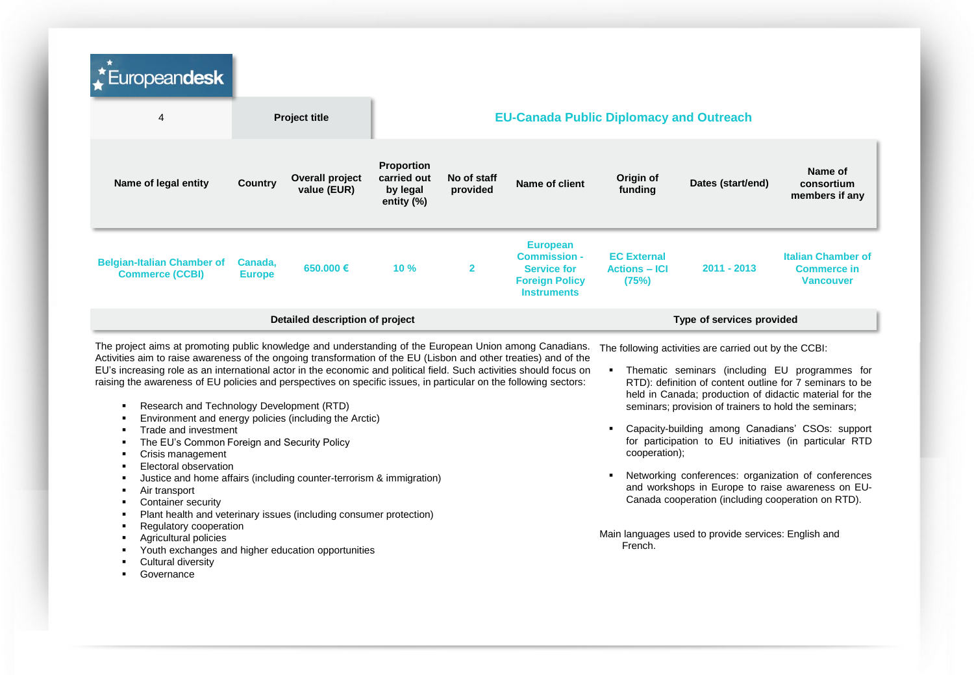| Europeandesk                                                                                                                                                                                                                                                                                                                                                                                                                                                                                                                                                                                                                                                                                                                                                                                                                                                                                                                                                                                                                                                                                                            |                          |                                       |                                                            |                         |                                                                                                             |                                                     |                                                                                                                                                                                                                                                                                                                                                                                                                                                                                                                                                                                                                                   |                                                                     |  |
|-------------------------------------------------------------------------------------------------------------------------------------------------------------------------------------------------------------------------------------------------------------------------------------------------------------------------------------------------------------------------------------------------------------------------------------------------------------------------------------------------------------------------------------------------------------------------------------------------------------------------------------------------------------------------------------------------------------------------------------------------------------------------------------------------------------------------------------------------------------------------------------------------------------------------------------------------------------------------------------------------------------------------------------------------------------------------------------------------------------------------|--------------------------|---------------------------------------|------------------------------------------------------------|-------------------------|-------------------------------------------------------------------------------------------------------------|-----------------------------------------------------|-----------------------------------------------------------------------------------------------------------------------------------------------------------------------------------------------------------------------------------------------------------------------------------------------------------------------------------------------------------------------------------------------------------------------------------------------------------------------------------------------------------------------------------------------------------------------------------------------------------------------------------|---------------------------------------------------------------------|--|
| 4                                                                                                                                                                                                                                                                                                                                                                                                                                                                                                                                                                                                                                                                                                                                                                                                                                                                                                                                                                                                                                                                                                                       |                          | <b>Project title</b>                  |                                                            |                         |                                                                                                             |                                                     | <b>EU-Canada Public Diplomacy and Outreach</b>                                                                                                                                                                                                                                                                                                                                                                                                                                                                                                                                                                                    |                                                                     |  |
| Name of legal entity                                                                                                                                                                                                                                                                                                                                                                                                                                                                                                                                                                                                                                                                                                                                                                                                                                                                                                                                                                                                                                                                                                    | Country                  | <b>Overall project</b><br>value (EUR) | <b>Proportion</b><br>carried out<br>by legal<br>entity (%) | No of staff<br>provided | Name of client                                                                                              | Origin of<br>funding                                | Dates (start/end)                                                                                                                                                                                                                                                                                                                                                                                                                                                                                                                                                                                                                 | Name of<br>consortium<br>members if any                             |  |
| <b>Belgian-Italian Chamber of</b><br><b>Commerce (CCBI)</b>                                                                                                                                                                                                                                                                                                                                                                                                                                                                                                                                                                                                                                                                                                                                                                                                                                                                                                                                                                                                                                                             | Canada,<br><b>Europe</b> | 650,000 €                             | 10 %                                                       | $\overline{2}$          | <b>European</b><br><b>Commission -</b><br><b>Service for</b><br><b>Foreign Policy</b><br><b>Instruments</b> | <b>EC External</b><br><b>Actions - ICI</b><br>(75%) | 2011 - 2013                                                                                                                                                                                                                                                                                                                                                                                                                                                                                                                                                                                                                       | <b>Italian Chamber of</b><br><b>Commerce in</b><br><b>Vancouver</b> |  |
|                                                                                                                                                                                                                                                                                                                                                                                                                                                                                                                                                                                                                                                                                                                                                                                                                                                                                                                                                                                                                                                                                                                         |                          | Detailed description of project       |                                                            |                         |                                                                                                             | Type of services provided                           |                                                                                                                                                                                                                                                                                                                                                                                                                                                                                                                                                                                                                                   |                                                                     |  |
| The project aims at promoting public knowledge and understanding of the European Union among Canadians.<br>Activities aim to raise awareness of the ongoing transformation of the EU (Lisbon and other treaties) and of the<br>EU's increasing role as an international actor in the economic and political field. Such activities should focus on<br>raising the awareness of EU policies and perspectives on specific issues, in particular on the following sectors:<br>Research and Technology Development (RTD)<br>٠<br>Environment and energy policies (including the Arctic)<br>Trade and investment<br>$\blacksquare$<br>The EU's Common Foreign and Security Policy<br>Crisis management<br>$\blacksquare$<br>Electoral observation<br>$\blacksquare$<br>Justice and home affairs (including counter-terrorism & immigration)<br>Air transport<br>٠<br>Container security<br>$\blacksquare$<br>Plant health and veterinary issues (including consumer protection)<br>Regulatory cooperation<br>Agricultural policies<br>Youth exchanges and higher education opportunities<br>Cultural diversity<br>Governance |                          |                                       |                                                            |                         |                                                                                                             | cooperation);<br>French.                            | The following activities are carried out by the CCBI:<br>• Thematic seminars (including EU programmes for<br>RTD): definition of content outline for 7 seminars to be<br>held in Canada; production of didactic material for the<br>seminars; provision of trainers to hold the seminars;<br>Capacity-building among Canadians' CSOs: support<br>for participation to EU initiatives (in particular RTD<br>Networking conferences: organization of conferences<br>and workshops in Europe to raise awareness on EU-<br>Canada cooperation (including cooperation on RTD).<br>Main languages used to provide services: English and |                                                                     |  |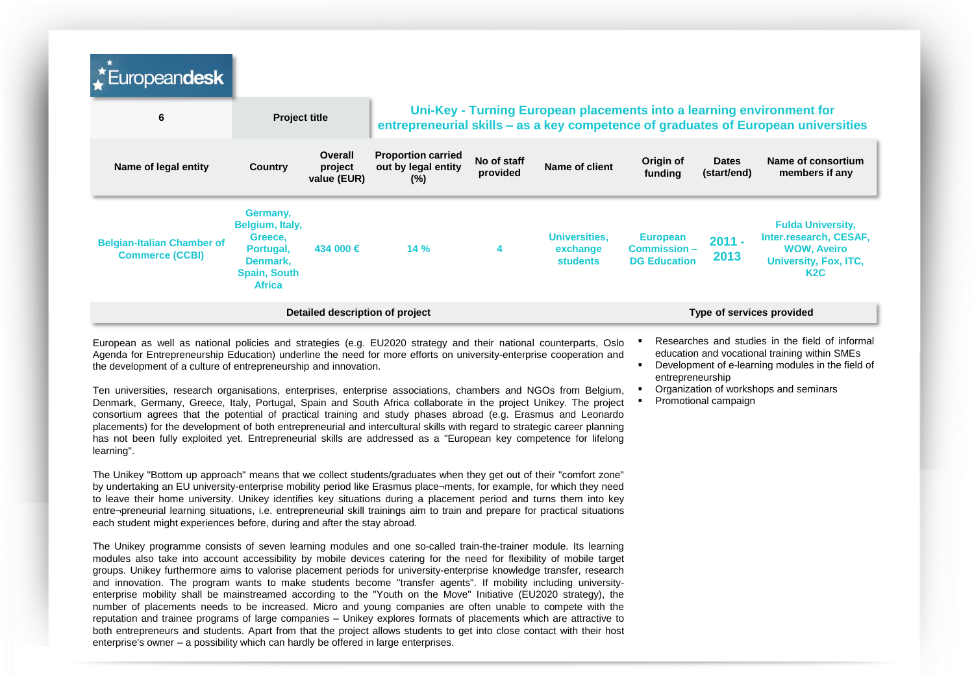| Europeandesk                                                |                                                                                                         |                                   |                                                            |                         |                                                     |                                                                                                                                                             |                             |                                                                                                                       |
|-------------------------------------------------------------|---------------------------------------------------------------------------------------------------------|-----------------------------------|------------------------------------------------------------|-------------------------|-----------------------------------------------------|-------------------------------------------------------------------------------------------------------------------------------------------------------------|-----------------------------|-----------------------------------------------------------------------------------------------------------------------|
| 6                                                           | <b>Project title</b>                                                                                    |                                   |                                                            |                         |                                                     | Uni-Key - Turning European placements into a learning environment for<br>entrepreneurial skills - as a key competence of graduates of European universities |                             |                                                                                                                       |
| Name of legal entity                                        | Country                                                                                                 | Overall<br>project<br>value (EUR) | <b>Proportion carried</b><br>out by legal entity<br>$(\%)$ | No of staff<br>provided | Name of client                                      | Origin of<br>funding                                                                                                                                        | <b>Dates</b><br>(start/end) | Name of consortium<br>members if any                                                                                  |
| <b>Belgian-Italian Chamber of</b><br><b>Commerce (CCBI)</b> | Germany,<br>Belgium, Italy,<br>Greece,<br>Portugal,<br>Denmark,<br><b>Spain, South</b><br><b>Africa</b> | 434 000 €                         | 14%                                                        | 4                       | <b>Universities,</b><br>exchange<br><b>students</b> | <b>European</b><br>$Commission -$<br><b>DG Education</b>                                                                                                    | $2011 -$<br>2013            | <b>Fulda University,</b><br>Inter.research, CESAF,<br><b>WOW, Aveiro</b><br>University, Fox, ITC,<br>K <sub>2</sub> C |
|                                                             |                                                                                                         | Detailed description of project   |                                                            |                         |                                                     |                                                                                                                                                             |                             | Type of services provided                                                                                             |

European as well as national policies and strategies (e.g. EU2020 strategy and their national counterparts, Oslo Agenda for Entrepreneurship Education) underline the need for more efforts on university-enterprise cooperation and the development of a culture of entrepreneurship and innovation.

Ten universities, research organisations, enterprises, enterprise associations, chambers and NGOs from Belgium, Denmark, Germany, Greece, Italy, Portugal, Spain and South Africa collaborate in the project Unikey. The project consortium agrees that the potential of practical training and study phases abroad (e.g. Erasmus and Leonardo placements) for the development of both entrepreneurial and intercultural skills with regard to strategic career planning has not been fully exploited yet. Entrepreneurial skills are addressed as a "European key competence for lifelong learning".

The Unikey "Bottom up approach" means that we collect students/graduates when they get out of their "comfort zone" by undertaking an EU university-enterprise mobility period like Erasmus place¬ments, for example, for which they need to leave their home university. Unikey identifies key situations during a placement period and turns them into key entre¬preneurial learning situations, i.e. entrepreneurial skill trainings aim to train and prepare for practical situations each student might experiences before, during and after the stay abroad.

The Unikey programme consists of seven learning modules and one so-called train-the-trainer module. Its learning modules also take into account accessibility by mobile devices catering for the need for flexibility of mobile target groups. Unikey furthermore aims to valorise placement periods for university-enterprise knowledge transfer, research and innovation. The program wants to make students become "transfer agents". If mobility including universityenterprise mobility shall be mainstreamed according to the "Youth on the Move" Initiative (EU2020 strategy), the number of placements needs to be increased. Micro and young companies are often unable to compete with the reputation and trainee programs of large companies – Unikey explores formats of placements which are attractive to both entrepreneurs and students. Apart from that the project allows students to get into close contact with their host enterprise's owner – a possibility which can hardly be offered in large enterprises.

- Researches and studies in the field of informal education and vocational training within SMEs
- Development of e-learning modules in the field of entrepreneurship
- Organization of workshops and seminars
- Promotional campaign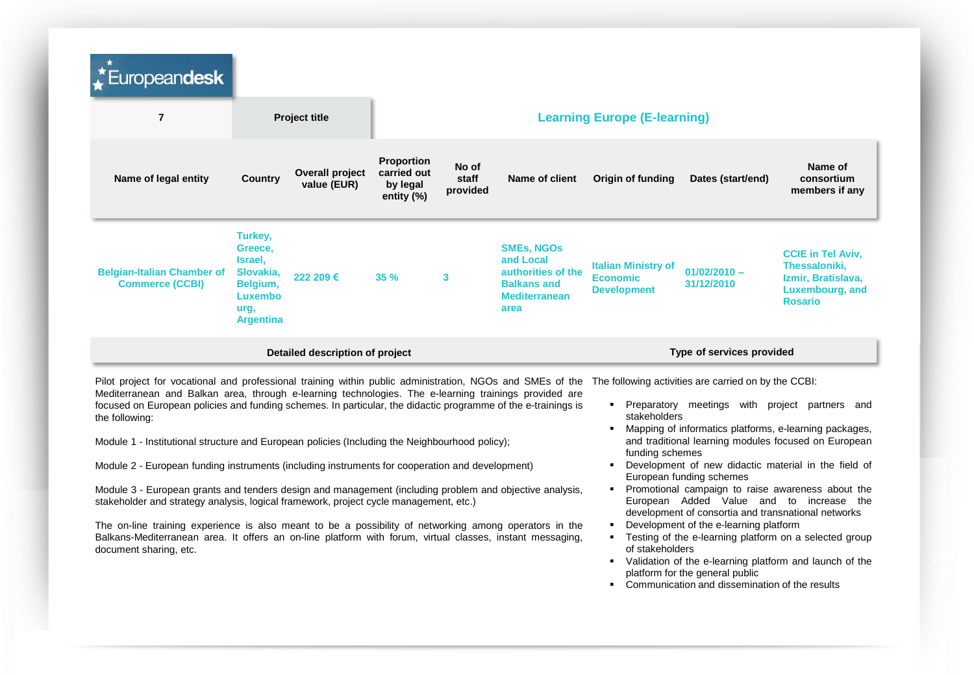| Europeandesk                                                                                                                                                                                                                                                                                                                                                                                                                                                                                                                                               |                                                                                               |                                 |                                                                                                                                  |                                                                                                                   |                                                                                                            |                                                                                                                           |                                                      |                                                                                                                                                                                                                            |  |
|------------------------------------------------------------------------------------------------------------------------------------------------------------------------------------------------------------------------------------------------------------------------------------------------------------------------------------------------------------------------------------------------------------------------------------------------------------------------------------------------------------------------------------------------------------|-----------------------------------------------------------------------------------------------|---------------------------------|----------------------------------------------------------------------------------------------------------------------------------|-------------------------------------------------------------------------------------------------------------------|------------------------------------------------------------------------------------------------------------|---------------------------------------------------------------------------------------------------------------------------|------------------------------------------------------|----------------------------------------------------------------------------------------------------------------------------------------------------------------------------------------------------------------------------|--|
| $\overline{7}$                                                                                                                                                                                                                                                                                                                                                                                                                                                                                                                                             |                                                                                               | <b>Project title</b>            |                                                                                                                                  |                                                                                                                   |                                                                                                            |                                                                                                                           | <b>Learning Europe (E-learning)</b>                  |                                                                                                                                                                                                                            |  |
| Name of legal entity                                                                                                                                                                                                                                                                                                                                                                                                                                                                                                                                       | <b>Country</b>                                                                                | Overall project<br>value (EUR)  | <b>Proportion</b><br>carried out<br>by legal<br>entity $(\%)$                                                                    | No of<br>staff<br>provided                                                                                        | Name of client                                                                                             | Origin of funding                                                                                                         | Dates (start/end)                                    | Name of<br>consortium<br>members if any                                                                                                                                                                                    |  |
| <b>Belgian-Italian Chamber of</b><br><b>Commerce (CCBI)</b>                                                                                                                                                                                                                                                                                                                                                                                                                                                                                                | Turkey,<br>Greece,<br>Israel,<br>Slovakia,<br>Belgium,<br>Luxembo<br>urg,<br><b>Argentina</b> | 222 209€                        | 35%                                                                                                                              | 3                                                                                                                 | <b>SMEs, NGOS</b><br>and Local<br>authorities of the<br><b>Balkans and</b><br><b>Mediterranean</b><br>area | <b>Italian Ministry of</b><br><b>Economic</b><br><b>Development</b>                                                       | $01/02/2010 -$<br>31/12/2010                         | <b>CCIE in Tel Aviv.</b><br>Thessaloniki,<br>Izmir, Bratislava,<br>Luxembourg, and<br><b>Rosario</b>                                                                                                                       |  |
|                                                                                                                                                                                                                                                                                                                                                                                                                                                                                                                                                            |                                                                                               | Detailed description of project |                                                                                                                                  |                                                                                                                   |                                                                                                            |                                                                                                                           | Type of services provided                            |                                                                                                                                                                                                                            |  |
| Pilot project for vocational and professional training within public administration, NGOs and SMEs of the<br>Mediterranean and Balkan area, through e-learning technologies. The e-learning trainings provided are<br>focused on European policies and funding schemes. In particular, the didactic programme of the e-trainings is<br>the following:<br>Module 1 - Institutional structure and European policies (Including the Neighbourhood policy);<br>Module 2 - European funding instruments (including instruments for cooperation and development) |                                                                                               |                                 |                                                                                                                                  |                                                                                                                   |                                                                                                            | stakeholders<br>funding schemes                                                                                           | The following activities are carried on by the CCBI: | • Preparatory meetings with project partners and<br>Mapping of informatics platforms, e-learning packages,<br>and traditional learning modules focused on European<br>Development of new didactic material in the field of |  |
| Module 3 - European grants and tenders design and management (including problem and objective analysis,<br>stakeholder and strategy analysis, logical framework, project cycle management, etc.)                                                                                                                                                                                                                                                                                                                                                           |                                                                                               |                                 |                                                                                                                                  |                                                                                                                   |                                                                                                            | European funding schemes<br>Promotional campaign to raise awareness about the<br>European Added Value and to increase the |                                                      |                                                                                                                                                                                                                            |  |
| The on-line training experience is also meant to be a possibility of networking among operators in the<br>Balkans-Mediterranean area. It offers an on-line platform with forum, virtual classes, instant messaging,<br>document sharing, etc.                                                                                                                                                                                                                                                                                                              |                                                                                               | of stakeholders                 | development of consortia and transnational networks<br>Development of the e-learning platform<br>platform for the general public | Testing of the e-learning platform on a selected group<br>Validation of the e-learning platform and launch of the |                                                                                                            |                                                                                                                           |                                                      |                                                                                                                                                                                                                            |  |

Communication and dissemination of the results